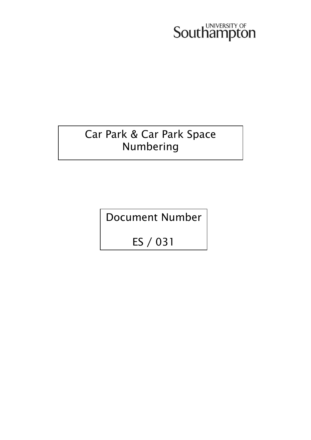# Southampton

### Car Park & Car Park Space Numbering

Document Number

ES / 031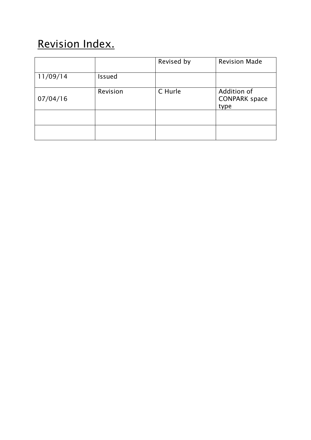### Revision Index.

|          |               | Revised by | <b>Revision Made</b>                        |
|----------|---------------|------------|---------------------------------------------|
| 11/09/14 | <b>Issued</b> |            |                                             |
| 07/04/16 | Revision      | C Hurle    | Addition of<br><b>CONPARK space</b><br>type |
|          |               |            |                                             |
|          |               |            |                                             |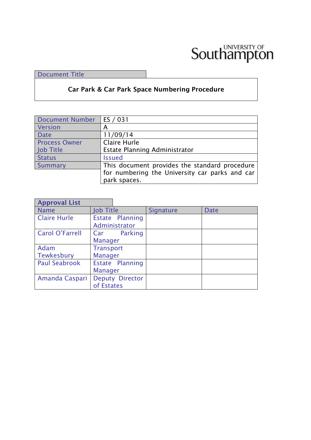## Southampton

Document Title

#### **Car Park & Car Park Space Numbering Procedure**

| Document Number      | ES / 031                                       |
|----------------------|------------------------------------------------|
| Version              | А                                              |
| <b>Date</b>          | 11/09/14                                       |
| <b>Process Owner</b> | Claire Hurle                                   |
| Job Title            | Estate Planning Administrator                  |
| <b>Status</b>        | <b>Issued</b>                                  |
| Summary              | This document provides the standard procedure  |
|                      | for numbering the University car parks and car |
|                      | park spaces.                                   |

| <b>Approval List</b>   |                                      |                                  |           |             |
|------------------------|--------------------------------------|----------------------------------|-----------|-------------|
| <b>Name</b>            | <b>Job Title</b>                     |                                  | Signature | <b>Date</b> |
| <b>Claire Hurle</b>    |                                      | Estate Planning<br>Administrator |           |             |
| <b>Carol O'Farrell</b> | Car<br><b>Manager</b>                | Parking                          |           |             |
| Adam<br>Tewkesbury     | <b>Transport</b><br><b>Manager</b>   |                                  |           |             |
| <b>Paul Seabrook</b>   | Estate Planning<br><b>Manager</b>    |                                  |           |             |
| Amanda Caspari         | <b>Deputy Director</b><br>of Estates |                                  |           |             |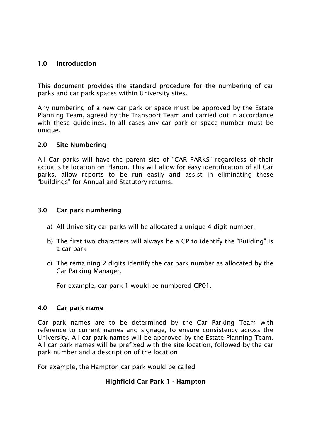#### **1.0 Introduction**

This document provides the standard procedure for the numbering of car parks and car park spaces within University sites.

Any numbering of a new car park or space must be approved by the Estate Planning Team, agreed by the Transport Team and carried out in accordance with these guidelines. In all cases any car park or space number must be unique.

#### **2.0 Site Numbering**

All Car parks will have the parent site of "CAR PARKS" regardless of their actual site location on Planon. This will allow for easy identification of all Car parks, allow reports to be run easily and assist in eliminating these "buildings" for Annual and Statutory returns.

#### **3.0 Car park numbering**

- a) All University car parks will be allocated a unique 4 digit number.
- b) The first two characters will always be a CP to identify the "Building" is a car park
- c) The remaining 2 digits identify the car park number as allocated by the Car Parking Manager.

For example, car park 1 would be numbered **CP01.**

#### **4.0 Car park name**

Car park names are to be determined by the Car Parking Team with reference to current names and signage, to ensure consistency across the University. All car park names will be approved by the Estate Planning Team. All car park names will be prefixed with the site location, followed by the car park number and a description of the location

For example, the Hampton car park would be called

#### **Highfield Car Park 1 - Hampton**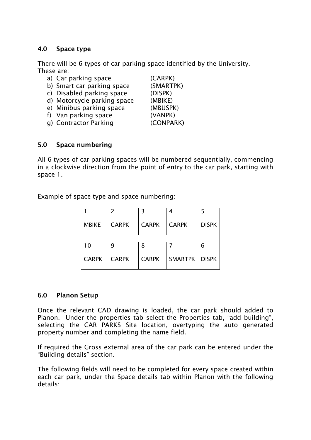#### **4.0 Space type**

There will be 6 types of car parking space identified by the University. These are:

| a) Car parking space        | (CARPK)   |
|-----------------------------|-----------|
| b) Smart car parking space  | (SMARTPK) |
| c) Disabled parking space   | (DISPK)   |
| d) Motorcycle parking space | (MBIKE)   |
| e) Minibus parking space    | (MBUSPK)  |
| f) Van parking space        | (VANPK)   |
| g) Contractor Parking       | (CONPARK) |
|                             |           |
|                             |           |

#### **5.0 Space numbering**

All 6 types of car parking spaces will be numbered sequentially, commencing in a clockwise direction from the point of entry to the car park, starting with space 1.

Example of space type and space numbering:

|              | $\mathcal{P}$ | 3            |                 |              |
|--------------|---------------|--------------|-----------------|--------------|
| <b>MBIKE</b> | <b>CARPK</b>  | <b>CARPK</b> | <b>CARPK</b>    | <b>DISPK</b> |
|              |               |              |                 |              |
| 10           | 9             | 8            |                 | 6            |
| <b>CARPK</b> | <b>CARPK</b>  | <b>CARPK</b> | SMARTPK   DISPK |              |

#### **6.0 Planon Setup**

Once the relevant CAD drawing is loaded, the car park should added to Planon. Under the properties tab select the Properties tab, "add building", selecting the CAR PARKS Site location, overtyping the auto generated property number and completing the name field.

If required the Gross external area of the car park can be entered under the "Building details" section.

The following fields will need to be completed for every space created within each car park, under the Space details tab within Planon with the following details: